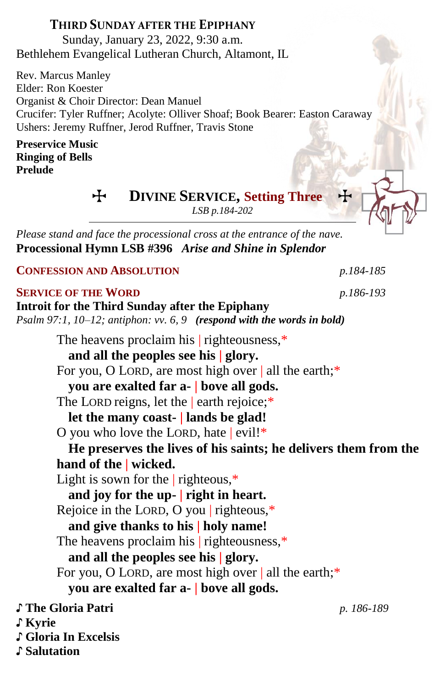### **THIRD SUNDAY AFTER THE EPIPHANY**

Sunday, January 23, 2022, 9:30 a.m. Bethlehem Evangelical Lutheran Church, Altamont, IL

Rev. Marcus Manley Elder: Ron Koester Organist & Choir Director: Dean Manuel Crucifer: Tyler Ruffner; Acolyte: Olliver Shoaf; Book Bearer: Easton Caraway Ushers: Jeremy Ruffner, Jerod Ruffner, Travis Stone

#### **Preservice Music Ringing of Bells Prelude**

 $\div$  **DIVINE SERVICE, Setting Three** 

*LSB p.184-202*

*Please stand and face the processional cross at the entrance of the nave.* **Processional Hymn LSB #396** *Arise and Shine in Splendor*

**CONFESSION AND ABSOLUTION** *p.184-185*

#### **SERVICE OF THE WORD** *p.186-193*

**Introit for the Third Sunday after the Epiphany** *Psalm 97:1, 10–12; antiphon: vv. 6, 9 (respond with the words in bold)* The heavens proclaim his | righteousness,\* **and all the peoples see his | glory.** For you, O LORD, are most high over | all the earth;\* **you are exalted far a- | bove all gods.** The LORD reigns, let the earth rejoice;\* **let the many coast- | lands be glad!** O you who love the LORD, hate | evil!\* **He preserves the lives of his saints; he delivers them from the hand of the | wicked.** Light is sown for the  $|$  righteous, $*$ **and joy for the up- | right in heart.** Rejoice in the LORD, O you | righteous,\* **and give thanks to his | holy name!** The heavens proclaim his righteousness,\* **and all the peoples see his | glory.** For you, O LORD, are most high over | all the earth;\* **you are exalted far a- | bove all gods.** ♪ **The Gloria Patri** *p. 186-189* ♪ **Kyrie** ♪ **Gloria In Excelsis** ♪ **Salutation**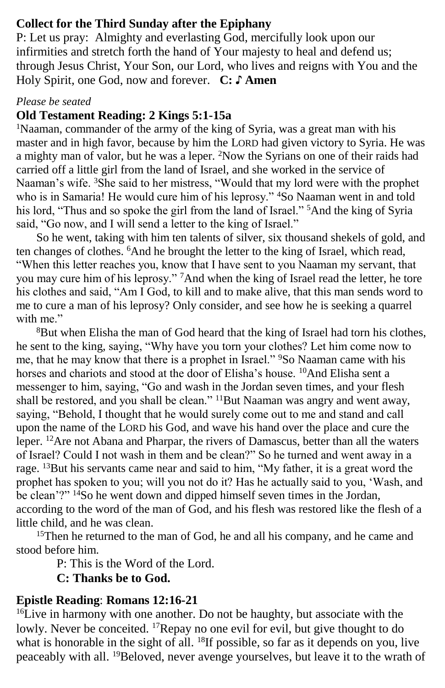### **Collect for the Third Sunday after the Epiphany**

P: Let us pray: Almighty and everlasting God, mercifully look upon our infirmities and stretch forth the hand of Your majesty to heal and defend us; through Jesus Christ, Your Son, our Lord, who lives and reigns with You and the Holy Spirit, one God, now and forever. **C: ♪ Amen**

#### *Please be seated*

## **Old Testament Reading: 2 Kings 5:1-15a**

<sup>1</sup>Naaman, commander of the army of the king of Syria, was a great man with his master and in high favor, because by him the LORD had given victory to Syria. He was a mighty man of valor, but he was a leper. <sup>2</sup>Now the Syrians on one of their raids had carried off a little girl from the land of Israel, and she worked in the service of Naaman's wife. <sup>3</sup>She said to her mistress, "Would that my lord were with the prophet who is in Samaria! He would cure him of his leprosy." <sup>4</sup>So Naaman went in and told his lord, "Thus and so spoke the girl from the land of Israel." <sup>5</sup>And the king of Syria said, "Go now, and I will send a letter to the king of Israel."

So he went, taking with him ten talents of silver, six thousand shekels of gold, and ten changes of clothes. <sup>6</sup>And he brought the letter to the king of Israel, which read, "When this letter reaches you, know that I have sent to you Naaman my servant, that you may cure him of his leprosy." <sup>7</sup>And when the king of Israel read the letter, he tore his clothes and said, "Am I God, to kill and to make alive, that this man sends word to me to cure a man of his leprosy? Only consider, and see how he is seeking a quarrel with me"

<sup>8</sup>But when Elisha the man of God heard that the king of Israel had torn his clothes, he sent to the king, saying, "Why have you torn your clothes? Let him come now to me, that he may know that there is a prophet in Israel." <sup>9</sup>So Naaman came with his horses and chariots and stood at the door of Elisha's house. <sup>10</sup>And Elisha sent a messenger to him, saying, "Go and wash in the Jordan seven times, and your flesh shall be restored, and you shall be clean." <sup>11</sup>But Naaman was angry and went away, saying, "Behold, I thought that he would surely come out to me and stand and call upon the name of the LORD his God, and wave his hand over the place and cure the leper. <sup>12</sup>Are not Abana and Pharpar, the rivers of Damascus, better than all the waters of Israel? Could I not wash in them and be clean?" So he turned and went away in a rage. <sup>13</sup>But his servants came near and said to him, "My father, it is a great word the prophet has spoken to you; will you not do it? Has he actually said to you, 'Wash, and be clean'?"  $14S$ o he went down and dipped himself seven times in the Jordan, according to the word of the man of God, and his flesh was restored like the flesh of a little child, and he was clean.

<sup>15</sup>Then he returned to the man of God, he and all his company, and he came and stood before him.

P: This is the Word of the Lord.

**C: Thanks be to God.**

### **Epistle Reading**: **Romans 12:16-21**

 $16$ Live in harmony with one another. Do not be haughty, but associate with the lowly. Never be conceited. <sup>17</sup>Repay no one evil for evil, but give thought to do what is honorable in the sight of all.  $^{18}$ If possible, so far as it depends on you, live peaceably with all. 19Beloved, never avenge yourselves, but leave it to the wrath of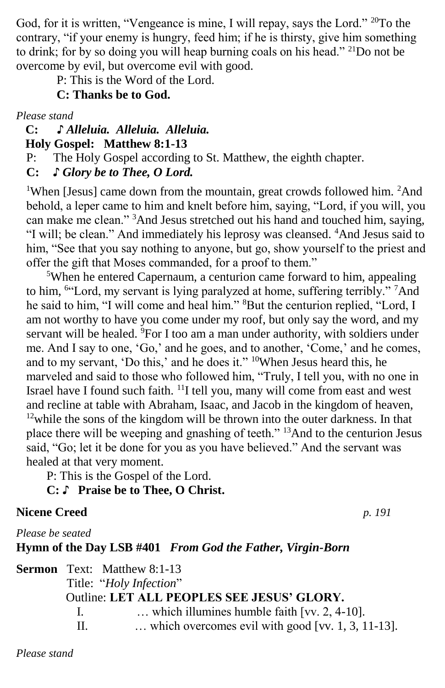God, for it is written, "Vengeance is mine, I will repay, says the Lord." <sup>20</sup>To the contrary, "if your enemy is hungry, feed him; if he is thirsty, give him something to drink; for by so doing you will heap burning coals on his head." <sup>21</sup>Do not be overcome by evil, but overcome evil with good.

P: This is the Word of the Lord.

# **C: Thanks be to God.**

*Please stand*

#### **C: ♪** *Alleluia. Alleluia. Alleluia.*  **Holy Gospel: Matthew 8:1-13**

P: The Holy Gospel according to St. Matthew, the eighth chapter.

# **C:** *♪ Glory be to Thee, O Lord.*

<sup>1</sup>When [Jesus] came down from the mountain, great crowds followed him. <sup>2</sup>And behold, a leper came to him and knelt before him, saying, "Lord, if you will, you can make me clean." <sup>3</sup>And Jesus stretched out his hand and touched him, saying, "I will; be clean." And immediately his leprosy was cleansed. <sup>4</sup>And Jesus said to him, "See that you say nothing to anyone, but go, show yourself to the priest and offer the gift that Moses commanded, for a proof to them."

<sup>5</sup>When he entered Capernaum, a centurion came forward to him, appealing to him, <sup>6"</sup>Lord, my servant is lying paralyzed at home, suffering terribly." <sup>7</sup>And he said to him, "I will come and heal him." <sup>8</sup>But the centurion replied, "Lord, I am not worthy to have you come under my roof, but only say the word, and my servant will be healed. <sup>9</sup>For I too am a man under authority, with soldiers under me. And I say to one, 'Go,' and he goes, and to another, 'Come,' and he comes, and to my servant, 'Do this,' and he does it." <sup>10</sup>When Jesus heard this, he marveled and said to those who followed him, "Truly, I tell you, with no one in Israel have I found such faith. <sup>11</sup>I tell you, many will come from east and west and recline at table with Abraham, Isaac, and Jacob in the kingdom of heaven, <sup>12</sup>while the sons of the kingdom will be thrown into the outer darkness. In that place there will be weeping and gnashing of teeth." <sup>13</sup>And to the centurion Jesus said, "Go; let it be done for you as you have believed." And the servant was healed at that very moment.

P: This is the Gospel of the Lord.

# **C:** ♪ **Praise be to Thee, O Christ.**

# **Nicene Creed** *p. 191*

*Please be seated*

**Hymn of the Day LSB #401** *From God the Father, Virgin-Born*

|  | <b>Sermon</b> Text: Matthew 8:1-13                                    |                                                   |
|--|-----------------------------------------------------------------------|---------------------------------------------------|
|  | Title: "Holy Infection"<br>Outline: LET ALL PEOPLES SEE JESUS' GLORY. |                                                   |
|  |                                                                       |                                                   |
|  | $\mathbf{L}$                                                          | which illumines humble faith [vv. $2, 4\n-10$ ].  |
|  | Ш.                                                                    | which overcomes evil with good [vv. 1, 3, 11-13]. |